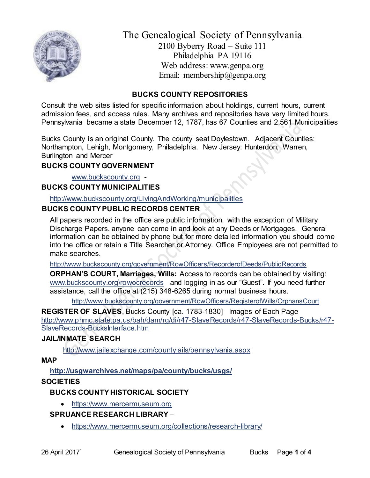

The Genealogical Society of Pennsylvania 2100 Byberry Road – Suite 111 Philadelphia PA 19116 Web address: www.genpa.org Email: membership@genpa.org

## **BUCKS COUNTY REPOSITORIES**

Consult the web sites listed for specific information about holdings, current hours, current admission fees, and access rules. Many archives and repositories have very limited hours. Pennsylvania became a state December 12, 1787, has 67 Counties and 2,561 Municipalities

Bucks County is an original County. The county seat Doylestown. Adjacent Counties: Northampton, Lehigh, Montgomery, Philadelphia. New Jersey: Hunterdon, Warren, Burlington and Mercer

## **BUCKS COUNTY GOVERNMENT**

[www.buckscounty.org](http://www.buckscounty.org/) -

## **BUCKS COUNTY MUNICIPALITIES**

<http://www.buckscounty.org/LivingAndWorking/municipalities>

## **BUCKS COUNTY PUBLIC RECORDS CENTER**

All papers recorded in the office are public information, with the exception of Military Discharge Papers. anyone can come in and look at any Deeds or Mortgages. General information can be obtained by phone but for more detailed information you should come into the office or retain a Title Searcher or Attorney. Office Employees are not permitted to make searches.

<http://www.buckscounty.org/government/RowOfficers/RecorderofDeeds/PublicRecords>

**ORPHAN'S COURT, Marriages, Wills:** Access to records can be obtained by visiting: [www.buckscounty.org\rowocrecords](http://www.buckscounty.org/rowocrecords) and logging in as our "Guest". If you need further assistance, call the office at (215) 348-6265 during normal business hours.

<http://www.buckscounty.org/government/RowOfficers/RegisterofWills/OrphansCourt>

**REGISTER OF SLAVES, Bucks County [ca. 1783-1830] Images of Each Page** [http://www.phmc.state.pa.us/bah/dam/rg/di/r47-SlaveRecords/r47-SlaveRecords-Bucks/r47-](http://www.phmc.state.pa.us/bah/dam/rg/di/r47-SlaveRecords/r47-SlaveRecords-Bucks/r47-SlaveRecords-BucksInterface.htm) [SlaveRecords-BucksInterface.htm](http://www.phmc.state.pa.us/bah/dam/rg/di/r47-SlaveRecords/r47-SlaveRecords-Bucks/r47-SlaveRecords-BucksInterface.htm)

# **JAIL/INMATE SEARCH**

<http://www.jailexchange.com/countyjails/pennsylvania.aspx>

### **MAP**

# **<http://usgwarchives.net/maps/pa/county/bucks/usgs/>**

# **SOCIETIES**

# **BUCKS COUNTY HISTORICAL SOCIETY**

• [https://www.mercermuseum.org](https://www.mercermuseum.org/)

# **SPRUANCE RESEARCH LIBRARY** –

<https://www.mercermuseum.org/collections/research-library/>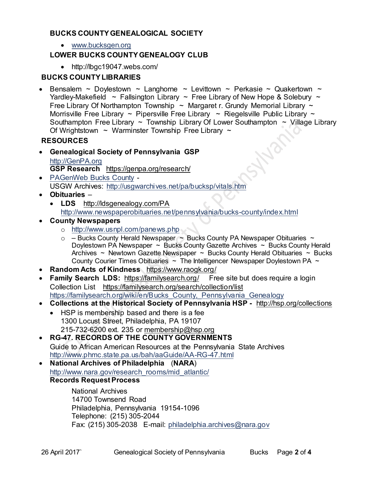## **BUCKS COUNTY GENEALOGICAL SOCIETY**

[www.bucksgen.org](http://www.bucksgen.org/)

## **LOWER BUCKS COUNTY GENEALOGY CLUB**

http://lbgc19047.webs.com/

### **BUCKS COUNTY LIBRARIES**

• Bensalem ~ Doylestown ~ Langhorne ~ Levittown ~ Perkasie ~ Quakertown ~ Yardley-Makefield  $\sim$  Fallsington Library  $\sim$  Free Library of New Hope & Solebury  $\sim$ Free Library Of Northampton Township  $\sim$  Margaret r. Grundy Memorial Library  $\sim$ Morrisville Free Library  $\sim$  Pipersville Free Library  $\sim$  Riegelsville Public Library  $\sim$ Southampton Free Library  $\sim$  Township Library Of Lower Southampton  $\sim$  Village Library Of Wrightstown  $\sim$  Warminster Township Free Library  $\sim$ 

## **RESOURCES**

- **Genealogical Society of Pennsylvania GSP** [http://GenPA.org](http://genpa.org/) **GSP Research** <https://genpa.org/research/>
- [PAGenWeb](http://pagenweb.org/~bucks/) Bucks County USGW Archives:<http://usgwarchives.net/pa/bucksp/vitals.htm>
- **Obituaries**
	- **LDS** <http://ldsgenealogy.com/PA> <http://www.newspaperobituaries.net/pennsylvania/bucks-county/index.html>
- **County Newspapers** 
	- o <http://www.usnpl.com/panews.php>
	- $\circ$  [Bucks County](http://www.bing.com/search?q=Bucks+County+Herald+Newspaper&FORM=R5FD) Herald Newspaper  $\sim$  [Bucks County PA Newspaper](http://www.bing.com/search?q=Bucks+County+PA+Newspaper+Obituaries&FORM=R5FD1) Obituaries  $\sim$ Doylestown [PA Newspaper](http://www.bing.com/search?q=Doylestown+PA+Newspaper&FORM=R5FD2) ~ Bucks County [Gazette Archives](http://www.bing.com/search?q=Bucks+County+Gazette+Archives&FORM=R5FD3) ~ [Bucks County](http://www.bing.com/search?q=Bucks+County+Herald+Archives&FORM=R5FD4) Herald [Archives](http://www.bing.com/search?q=Bucks+County+Herald+Archives&FORM=R5FD4)  $\sim$  [Newtown Gazette](http://www.bing.com/search?q=Newtown+Gazette+Newspaper&FORM=R5FD5) Newspaper  $\sim$  Bucks County [Herald Obituaries](http://www.bing.com/search?q=Bucks+County+Herald+Obituaries&FORM=R5FD6)  $\sim$  Bucks County [Courier Times Obituaries](http://www.bing.com/search?q=Bucks+County+Courier+Times+Obituaries&FORM=R5FD7)  $\sim$  The Intelligencer [Newspaper Doylestown PA](http://www.bing.com/search?q=The+Intelligencer+Newspaper+Doylestown+PA&FORM=R5FD7)  $\sim$
- **Random Acts of Kindness** <https://www.raogk.org/>
- **Family Search LDS:**<https://familysearch.org/>Free site but does require a login Collection List <https://familysearch.org/search/collection/list> https://familysearch.org/wiki/en/Bucks County, Pennsylvania Genealogy
- **Collections at the Historical Society of Pennsylvania HSP -** <http://hsp.org/collections>
	- HSP is membership based and there is a fee 1300 Locust Street, Philadelphia, PA 19107 215-732-6200 ext. 235 or [membership@hsp.org](mailto:membership@hsp.org)
- **RG-47. RECORDS OF THE COUNTY GOVERNMENTS** Guide to African American Resources at the Pennsylvania State Archives <http://www.phmc.state.pa.us/bah/aaGuide/AA-RG-47.html>
- **National Archives of Philadelphia** (**NARA**) [http://www.nara.gov/research\\_rooms/mid\\_atlantic/](http://www.nara.gov/research_rooms/mid_atlantic/) **Records Request Process**

National Archives 14700 Townsend Road Philadelphia, Pennsylvania 19154-1096 Telephone: (215) 305-2044 Fax: (215) 305-2038 E-mail: [philadelphia.archives@nara.gov](mailto:philadelphia.archives@nara.gov)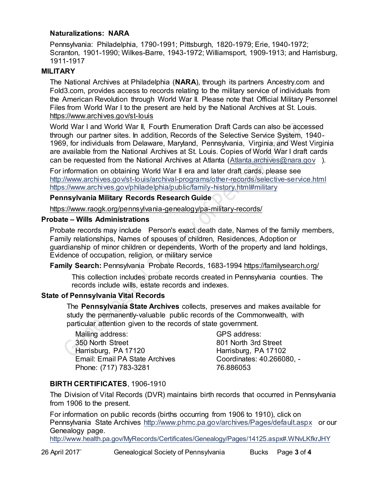### **Naturalizations: NARA**

Pennsylvania: Philadelphia, 1790-1991; Pittsburgh, 1820-1979; Erie, 1940-1972; Scranton, 1901-1990; Wilkes-Barre, 1943-1972; Williamsport, 1909-1913; and Harrisburg, 1911-1917

#### **MILITARY**

The National Archives at Philadelphia (**NARA**), through its partners Ancestry.com and Fold3.com, provides access to records relating to the military service of individuals from the American Revolution through World War II. Please note that Official Military Personnel Files from World War I to the present are held by the National Archives at St. Louis. <https://www.archives.gov/st-louis>

World War I and World War II, Fourth Enumeration Draft Cards can also be accessed through our partner sites. In addition, Records of the Selective Service System, 1940- 1969, for individuals from Delaware, Maryland, Pennsylvania, Virginia, and West Virginia are available from the National Archives at St. Louis. Copies of World War I draft cards can be requested from the National Archives at Atlanta [\(Atlanta.archives@nara.gov](mailto:Atlanta.archives@nara.gov) ).

For information on obtaining World War II era and later draft cards, please see <http://www.archives.gov/st-louis/archival-programs/other-records/selective-service.html> <https://www.archives.gov/philadelphia/public/family-history.html#military>

#### **Pennsylvania Military Records Research Guide**

<https://www.raogk.org/pennsylvania-genealogy/pa-military-records/>

#### **Probate – Wills Administrations**

Probate records may include Person's exact death date, Names of the family members, Family relationships, Names of spouses of children, Residences, Adoption or guardianship of minor children or dependents, Worth of the property and land holdings, Evidence of occupation, religion, or military service

**Family Search:** Pennsylvania Probate Records, 1683-1994 <https://familysearch.org/>

This collection includes probate records created in Pennsylvania counties. The records include wills, estate records and indexes.

### **State of Pennsylvania Vital Records**

The **Pennsylvania State Archives** collects, preserves and makes available for study the permanently-valuable public records of the Commonwealth, with particular attention given to the records of state government.

Mailing address: 350 North Street Harrisburg, PA 17120 Email: Email PA State Archives Phone: (717) 783-3281

GPS address: 801 North 3rd Street Harrisburg, PA 17102 Coordinates: 40.266080, - 76.886053

### **BIRTH CERTIFICATES**, 1906-1910

The Division of Vital Records (DVR) maintains birth records that occurred in Pennsylvania from 1906 to the present.

For information on public records (births occurring from 1906 to 1910), click on Pennsylvania State Archives <http://www.phmc.pa.gov/archives/Pages/default.aspx>or our Genealogy page.

<http://www.health.pa.gov/MyRecords/Certificates/Genealogy/Pages/14125.aspx#.WNvLKfkrJHY>